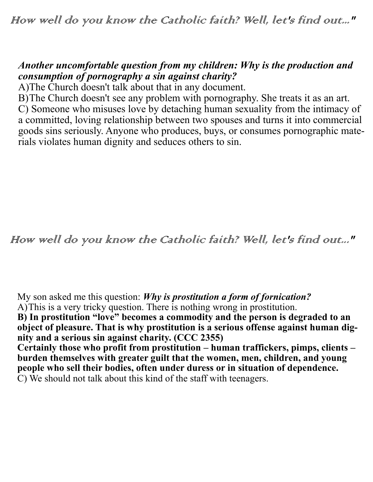## *Another uncomfortable question from my children: Why is the production and consumption of pornography a sin against charity?*

A)The Church doesn't talk about that in any document.

B)The Church doesn't see any problem with pornography. She treats it as an art. C) Someone who misuses love by detaching human sexuality from the intimacy of a committed, loving relationship between two spouses and turns it into commercial goods sins seriously. Anyone who produces, buys, or consumes pornographic materials violates human dignity and seduces others to sin.

How well do you know the Catholic faith? Well, let's find out..."

My son asked me this question: *Why is prostitution a form of fornication?*

A)This is a very tricky question. There is nothing wrong in prostitution.

**B) In prostitution "love" becomes a commodity and the person is degraded to an object of pleasure. That is why prostitution is a serious offense against human dignity and a serious sin against charity. (CCC 2355)**

**Certainly those who profit from prostitution – human traffickers, pimps, clients – burden themselves with greater guilt that the women, men, children, and young**  people who sell their bodies, often under duress or in situation of dependence. C) We should not talk about this kind of the staff with teenagers.